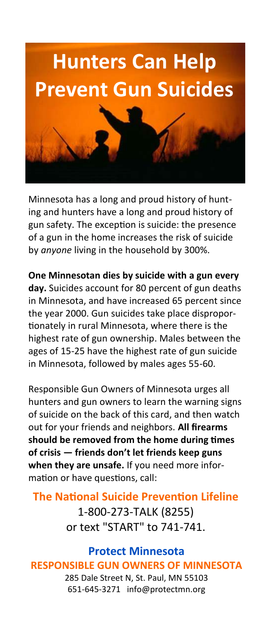

Minnesota has a long and proud history of hunting and hunters have a long and proud history of gun safety. The exception is suicide: the presence of a gun in the home increases the risk of suicide by *anyone* living in the household by 300%.

**One Minnesotan dies by suicide with a gun every day.** Suicides account for 80 percent of gun deaths in Minnesota, and have increased 65 percent since the year 2000. Gun suicides take place disproportionately in rural Minnesota, where there is the highest rate of gun ownership. Males between the ages of 15-25 have the highest rate of gun suicide in Minnesota, followed by males ages 55-60.

Responsible Gun Owners of Minnesota urges all hunters and gun owners to learn the warning signs of suicide on the back of this card, and then watch out for your friends and neighbors. **All firearms should be removed from the home during times of crisis — friends don't let friends keep guns when they are unsafe.** If you need more information or have questions, call:

# **The National Suicide Prevention Lifeline** 1-800-273-TALK (8255) or text "START" to 741-741.

#### **Protect Minnesota RESPONSIBLE GUN OWNERS OF MINNESOTA** 285 Dale Street N, St. Paul, MN 55103

651-645-3271 info@protectmn.org